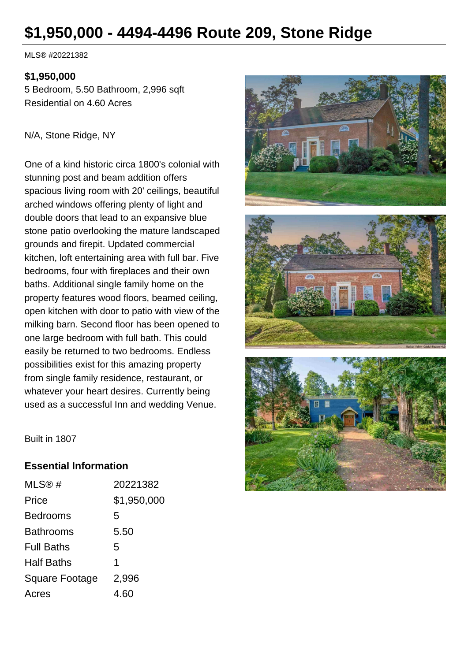# **\$1,950,000 - 4494-4496 Route 209, Stone Ridge**

MLS® #20221382

#### **\$1,950,000**

5 Bedroom, 5.50 Bathroom, 2,996 sqft Residential on 4.60 Acres

N/A, Stone Ridge, NY

One of a kind historic circa 1800's colonial with stunning post and beam addition offers spacious living room with 20' ceilings, beautiful arched windows offering plenty of light and double doors that lead to an expansive blue stone patio overlooking the mature landscaped grounds and firepit. Updated commercial kitchen, loft entertaining area with full bar. Five bedrooms, four with fireplaces and their own baths. Additional single family home on the property features wood floors, beamed ceiling, open kitchen with door to patio with view of the milking barn. Second floor has been opened to one large bedroom with full bath. This could easily be returned to two bedrooms. Endless possibilities exist for this amazing property from single family residence, restaurant, or whatever your heart desires. Currently being used as a successful Inn and wedding Venue.







Built in 1807

#### **Essential Information**

| MLS@#             | 20221382    |
|-------------------|-------------|
| Price             | \$1,950,000 |
| Bedrooms          | 5           |
| Bathrooms         | 5.50        |
| <b>Full Baths</b> | 5           |
| Half Baths        | 1           |
| Square Footage    | 2,996       |
| Acres             | 4.60        |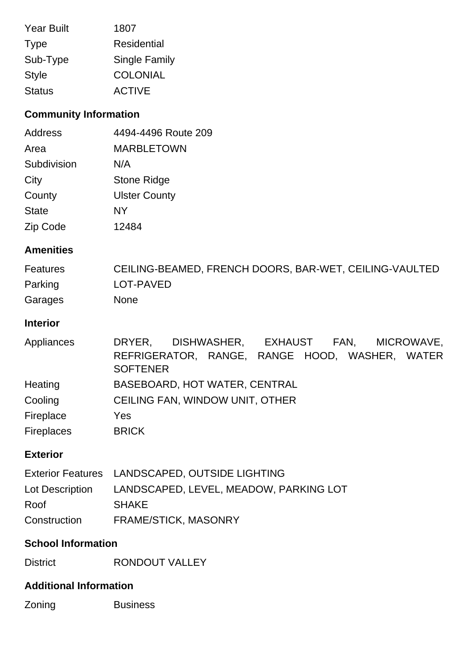| <b>Year Built</b> | 1807                 |
|-------------------|----------------------|
| <b>Type</b>       | Residential          |
| Sub-Type          | <b>Single Family</b> |
| <b>Style</b>      | <b>COLONIAL</b>      |
| <b>Status</b>     | <b>ACTIVE</b>        |

# **Community Information**

| Address      | 4494-4496 Route 209  |
|--------------|----------------------|
| Area         | <b>MARBLETOWN</b>    |
| Subdivision  | N/A                  |
| City         | Stone Ridge          |
| County       | <b>Ulster County</b> |
| <b>State</b> | <b>NY</b>            |
| Zip Code     | 12484                |

## **Amenities**

| Features | CEILING-BEAMED, FRENCH DOORS, BAR-WET, CEILING-VAULTED |
|----------|--------------------------------------------------------|
| Parking  | LOT-PAVED                                              |
| Garages  | <b>None</b>                                            |

## **Interior**

| Appliances        | DRYER.                                         | DISHWASHER. | EXHAUST FAN, | MICROWAVE, |
|-------------------|------------------------------------------------|-------------|--------------|------------|
|                   | REFRIGERATOR, RANGE, RANGE HOOD, WASHER, WATER |             |              |            |
|                   | <b>SOFTENER</b>                                |             |              |            |
| Heating           | BASEBOARD, HOT WATER, CENTRAL                  |             |              |            |
| Cooling           | CEILING FAN, WINDOW UNIT, OTHER                |             |              |            |
| Fireplace         | Yes                                            |             |              |            |
| <b>Fireplaces</b> | <b>BRICK</b>                                   |             |              |            |

# **Exterior**

|                 | Exterior Features LANDSCAPED, OUTSIDE LIGHTING |
|-----------------|------------------------------------------------|
| Lot Description | LANDSCAPED, LEVEL, MEADOW, PARKING LOT         |
| Roof            | <b>SHAKE</b>                                   |
| Construction    | <b>FRAME/STICK, MASONRY</b>                    |

### **School Information**

District RONDOUT VALLEY

### **Additional Information**

Zoning **Business**